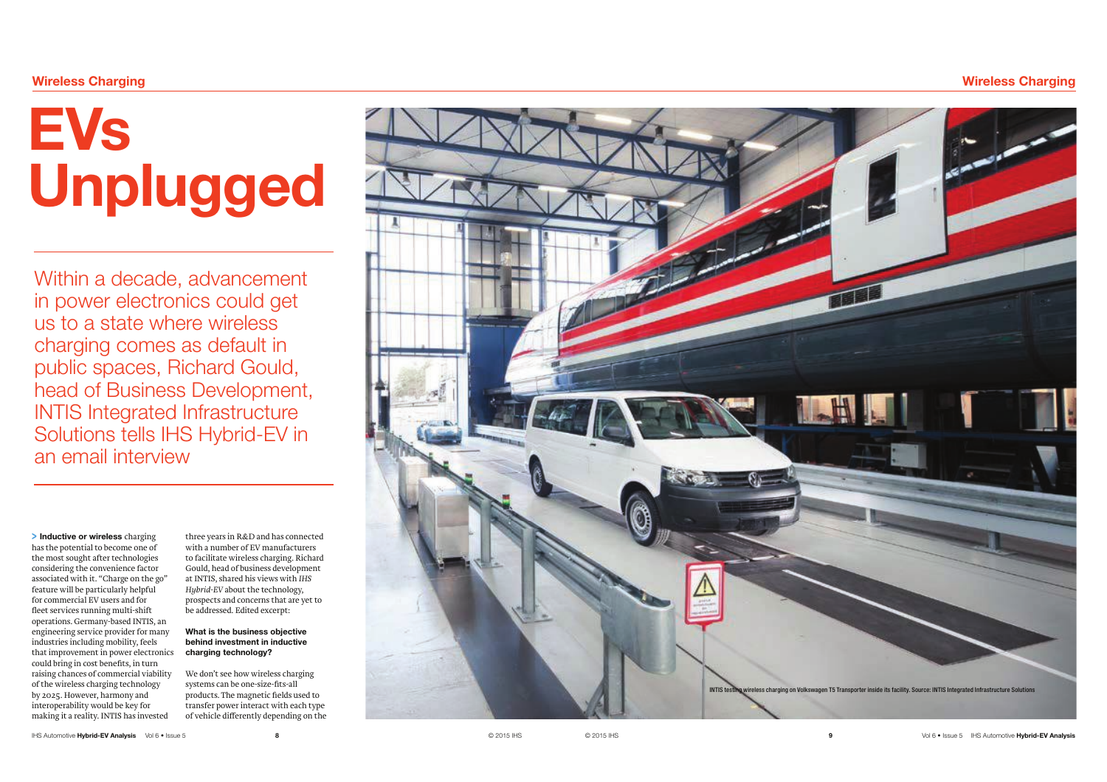# :LUHOHVV&KDUJLQJ

# Unplugged

Within a decade, advancement in power electronics could get us to a state where wireless charging comes as default in public spaces, Richard Gould, head of Business Development, INTIS Integrated Infrastructure Solutions tells IHS Hybrid-EV in an email interview

## > Inductive or wireless charging

has the potential to become one of the most sought after technologies considering the convenience factor associated with it. "Charge on the go" feature will be particularly helpful for commercial EV users and for fleet services running multi-shift operations. Germany-based INTIS, an engineering service provider for many industries including mobility, feels that improvement in power electronics could bring in cost benefits, in turn raising chances of commercial viability of the wireless charging technology by 2025. However, harmony and interoperability would be key for making it a reality. INTIS has invested

three years in R&D and has connected with a number of EV manufacturers to facilitate wireless charging. Richard Gould, head of business development at INTIS, shared his views with *IHS Hybrid-EV* about the technology, prospects and concerns that are yet to be addressed. Edited excerpt:

### What is the business objective behind investment in inductive charging technology?

We don't see how wireless charging systems can be one-size-fits-all products. The magnetic fields used to transfer power interact with each type of vehicle differently depending on the